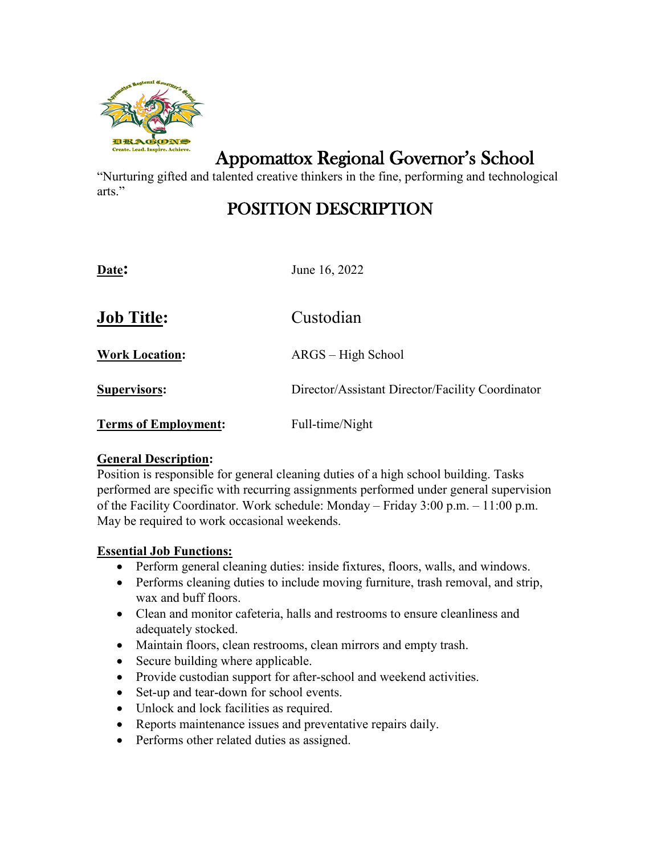

Appomattox Regional Governor's School

"Nurturing gifted and talented creative thinkers in the fine, performing and technological arts."

# POSITION DESCRIPTION

**Date:** June 16, 2022

| <b>Job Title:</b>           | Custodian                                        |
|-----------------------------|--------------------------------------------------|
| <b>Work Location:</b>       | ARGS – High School                               |
| <b>Supervisors:</b>         | Director/Assistant Director/Facility Coordinator |
| <b>Terms of Employment:</b> | Full-time/Night                                  |

## **General Description:**

Position is responsible for general cleaning duties of a high school building. Tasks performed are specific with recurring assignments performed under general supervision of the Facility Coordinator. Work schedule: Monday – Friday 3:00 p.m. – 11:00 p.m. May be required to work occasional weekends.

## **Essential Job Functions:**

- Perform general cleaning duties: inside fixtures, floors, walls, and windows.
- Performs cleaning duties to include moving furniture, trash removal, and strip, wax and buff floors.
- Clean and monitor cafeteria, halls and restrooms to ensure cleanliness and adequately stocked.
- Maintain floors, clean restrooms, clean mirrors and empty trash.
- Secure building where applicable.
- Provide custodian support for after-school and weekend activities.
- Set-up and tear-down for school events.
- Unlock and lock facilities as required.
- Reports maintenance issues and preventative repairs daily.
- Performs other related duties as assigned.